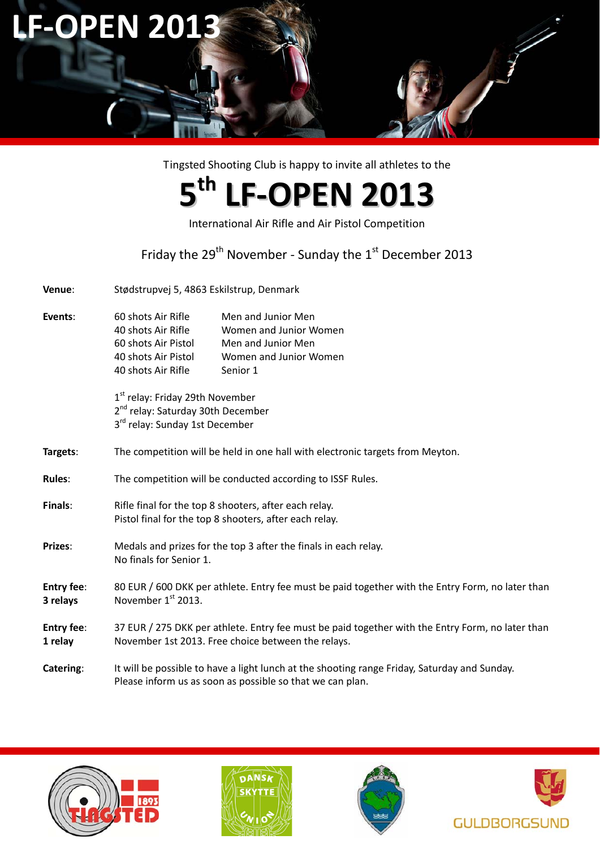# **LF‐OPEN 2013**

Tingsted Shooting Club is happy to invite all athletes to the

## **5th LF‐OPEN 2013**

International Air Rifle and Air Pistol Competition

Friday the 29<sup>th</sup> November - Sunday the 1<sup>st</sup> December 2013

**Venue**: Stødstrupvej 5, 4863 Eskilstrup, Denmark

**Events**: 60 shots Air Rifle Men and Junior Men shots Air Rifle Women and Junior Women shots Air Pistol Men and Junior Men shots Air Pistol Women and Junior Women shots Air Rifle Senior 1

> 1<sup>st</sup> relay: Friday 29th November 2<sup>nd</sup> relay: Saturday 30th December 3<sup>rd</sup> relay: Sunday 1st December

- **Targets**: The competition will be held in one hall with electronic targets from Meyton.
- Rules: The competition will be conducted according to ISSF Rules.
- **Finals: Rifle final for the top 8 shooters, after each relay.** Pistol final for the top 8 shooters, after each relay.
- Prizes: Medals and prizes for the top 3 after the finals in each relay. No finals for Senior 1.
- **Entry fee**: 80 EUR / 600 DKK per athlete. Entry fee must be paid together with the Entry Form, no later than **3 relays November 1st 2013.**
- **Entry fee**: 37 EUR / 275 DKK per athlete. Entry fee must be paid together with the Entry Form, no later than **1 relay** November 1st 2013. Free choice between the relays.
- **Catering**: It will be possible to have a light lunch at the shooting range Friday, Saturday and Sunday. Please inform us as soon as possible so that we can plan.







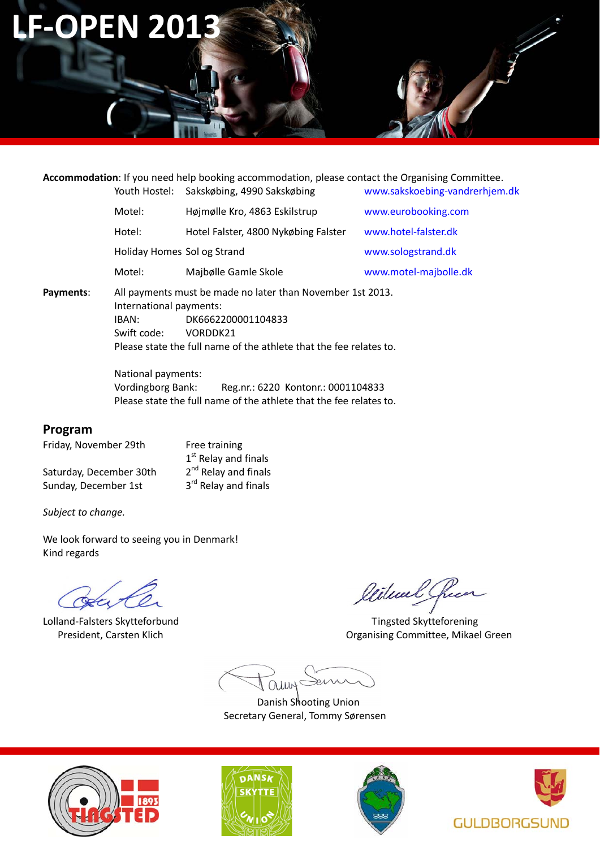### **LF‐OPEN 2013**

**Accommodation**: If you need help booking accommodation, please contact the Organising Committee. Youth Hostel: Sakskøbing, 4990 Sakskøbing www.sakskoebing‐vandrerhjem.dk

|           | Motel:                                                                                     | Højmølle Kro, 4863 Eskilstrup        | www.eurobooking.com   |  |  |  |  |
|-----------|--------------------------------------------------------------------------------------------|--------------------------------------|-----------------------|--|--|--|--|
|           | Hotel:                                                                                     | Hotel Falster, 4800 Nykøbing Falster | www.hotel-falster.dk  |  |  |  |  |
|           |                                                                                            | Holiday Homes Sol og Strand          | www.sologstrand.dk    |  |  |  |  |
|           | Motel:                                                                                     | Majbølle Gamle Skole                 | www.motel-majbolle.dk |  |  |  |  |
| Payments: | All payments must be made no later than November 1st 2013.<br>letarantis and resursements. |                                      |                       |  |  |  |  |

**Payments:** International payments: IBAN: DK6662200001104833 Swift code: VORDDK21 Please state the full name of the athlete that the fee relates to.

> National payments: Vordingborg Bank: Reg.nr.: 6220 Kontonr.: 0001104833 Please state the full name of the athlete that the fee relates to.

#### **Program**

Friday, November 29th Free training

Saturday, December 30th  $2<sup>nd</sup>$  Relay and finals<br>Sunday, December 1st  $3<sup>rd</sup>$  Relay and finals Sunday, December 1st

 $1<sup>st</sup>$  Relay and finals<br> $2<sup>nd</sup>$  Relay and finals

*Subject to change.*

We look forward to seeing you in Denmark! Kind regards

dute

Lolland‐Falsters Skytteforbund Tingsted Skytteforening

Wilwal Cheen

President, Carsten Klich Organising Committee, Mikael Green

auns

 Danish Shooting Union Secretary General, Tommy Sørensen